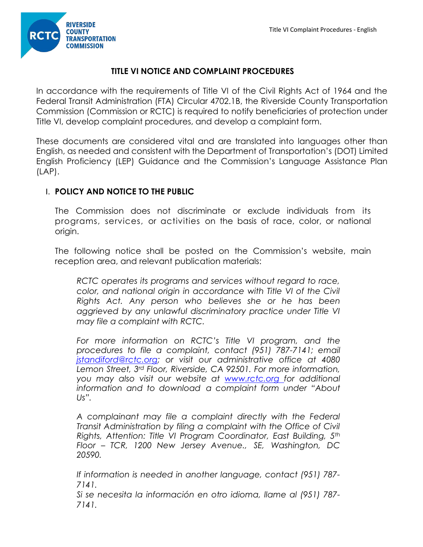

# **TITLE VI NOTICE AND COMPLAINT PROCEDURES**

In accordance with the requirements of Title VI of the Civil Rights Act of 1964 and the Federal Transit Administration (FTA) Circular 4702.1B, the Riverside County Transportation Commission (Commission or RCTC) is required to notify beneficiaries of protection under Title VI, develop complaint procedures, and develop a complaint form.

These documents are considered vital and are translated into languages other than English, as needed and consistent with the Department of Transportation's (DOT) Limited English Proficiency (LEP) Guidance and the Commission's Language Assistance Plan (LAP).

# I. **POLICY AND NOTICE TO THE PUBLIC**

The Commission does not discriminate or exclude individuals from its programs, services, or activities on the basis of race, color, or national origin.

The following notice shall be posted on the Commission's website, main reception area, and relevant publication materials:

*RCTC operates its programs and services without regard to race, color, and national origin in accordance with Title VI of the Civil Rights Act. Any person who believes she or he has been aggrieved by any unlawful discriminatory practice under Title VI may file a complaint with RCTC.*

*For more information on RCTC's Title VI program, and the procedures to file a complaint, contact (951) 787-7141; email jstandiford@rctc.org; or visit our administrative office at 4080 Lemon Street, 3rd Floor, Riverside, CA 92501. For more information, you may also visit our website at [www.rctc.org](http://www.rctc.orgfor/) for additional information and to download a complaint form under "About Us".*

*A complainant may file a complaint directly with the Federal Transit Administration by filing a complaint with the Office of Civil Rights, Attention: Title VI Program Coordinator, East Building, 5th Floor – TCR, 1200 New Jersey Avenue., SE, Washington, DC 20590.*

*If information is needed in another language, contact (951) 787- 7141.*

*Si se necesita la información en otro idioma, llame al (951) 787- 7141.*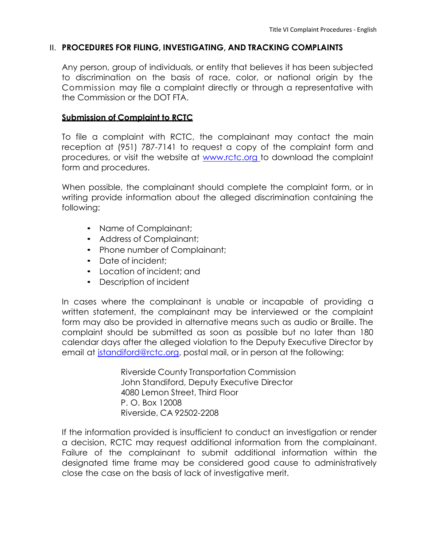### II. **PROCEDURES FOR FILING, INVESTIGATING, AND TRACKING COMPLAINTS**

Any person, group of individuals, or entity that believes it has been subjected to discrimination on the basis of race, color, or national origin by the Commission may file a complaint directly or through a representative with the Commission or the DOT FTA.

### **Submission of Complaint to RCTC**

To file a complaint with RCTC, the complainant may contact the main reception at (951) 787-7141 to request a copy of the complaint form and procedures, or visit the website at [www.rctc.org to d](http://www.rctc.orgto/)ownload the complaint form and procedures.

When possible, the complainant should complete the complaint form, or in writing provide information about the alleged discrimination containing the following:

- Name of Complainant;
- Address of Complainant;
- Phone number of Complainant;
- Date of incident:
- Location of incident; and
- Description of incident

In cases where the complainant is unable or incapable of providing a written statement, the complainant may be interviewed or the complaint form may also be provided in alternative means such as audio or Braille. The complaint should be submitted as soon as possible but no later than 180 calendar days after the alleged violation to the Deputy Executive Director by email at *istandiford@rctc.org, postal mail, or in person at the following:* 

> Riverside County Transportation Commission John Standiford, Deputy Executive Director 4080 Lemon Street, Third Floor P. O. Box 12008 Riverside, CA 92502-2208

If the information provided is insufficient to conduct an investigation or render a decision, RCTC may request additional information from the complainant. Failure of the complainant to submit additional information within the designated time frame may be considered good cause to administratively close the case on the basis of lack of investigative merit.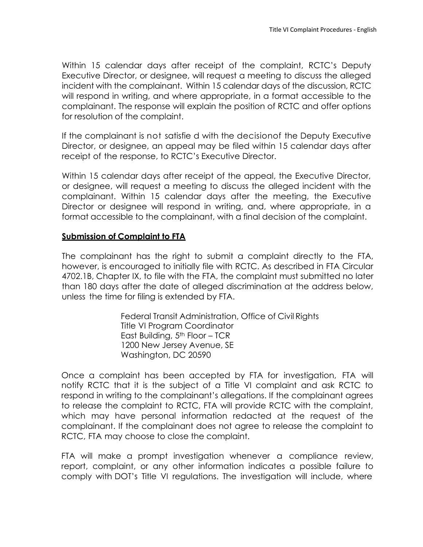Within 15 calendar days after receipt of the complaint, RCTC's Deputy Executive Director, or designee, will request a meeting to discuss the alleged incident with the complainant. Within 15 calendar days of the discussion, RCTC will respond in writing, and where appropriate, in a format accessible to the complainant. The response will explain the position of RCTC and offer options for resolution of the complaint.

If the complainant is not satisfie d with the decisionof the Deputy Executive Director, or designee, an appeal may be filed within 15 calendar days after receipt of the response, to RCTC's Executive Director.

Within 15 calendar days after receipt of the appeal, the Executive Director, or designee, will request a meeting to discuss the alleged incident with the complainant. Within 15 calendar days after the meeting, the Executive Director or designee will respond in writing, and, where appropriate, in a format accessible to the complainant, with a final decision of the complaint.

# **Submission of Complaint to FTA**

The complainant has the right to submit a complaint directly to the FTA, however, is encouraged to initially file with RCTC. As described in FTA Circular 4702.1B, Chapter IX, to file with the FTA, the complaint must submitted no later than 180 days after the date of alleged discrimination at the address below, unless the time for filing is extended by FTA.

> Federal Transit Administration, Office of Civil Rights Title VI Program Coordinator East Building,  $5<sup>th</sup>$  Floor – TCR 1200 New Jersey Avenue, SE Washington, DC 20590

Once a complaint has been accepted by FTA for investigation, FTA will notify RCTC that it is the subject of a Title VI complaint and ask RCTC to respond in writing to the complainant's allegations. If the complainant agrees to release the complaint to RCTC, FTA will provide RCTC with the complaint, which may have personal information redacted at the request of the complainant. If the complainant does not agree to release the complaint to RCTC, FTA may choose to close the complaint.

FTA will make a prompt investigation whenever a compliance review, report, complaint, or any other information indicates a possible failure to comply with DOT's Title VI regulations. The investigation will include, where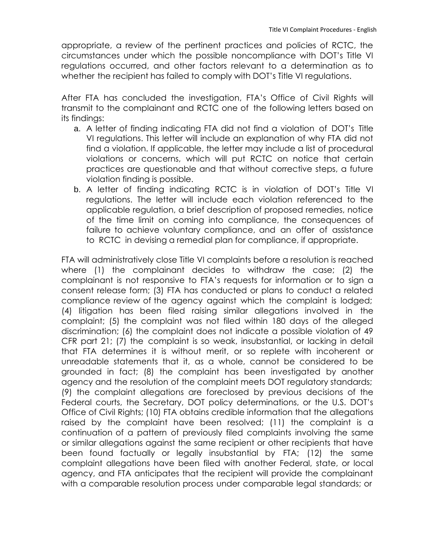appropriate, a review of the pertinent practices and policies of RCTC, the circumstances under which the possible noncompliance with DOT's Title VI regulations occurred, and other factors relevant to a determination as to whether the recipient has failed to comply with DOT's Title VI regulations.

After FTA has concluded the investigation, FTA's Office of Civil Rights will transmit to the complainant and RCTC one of the following letters based on its findings:

- a. A letter of finding indicating FTA did not find a violation of DOT's Title VI regulations. This letter will include an explanation of why FTA did not find a violation. If applicable, the letter may include a list of procedural violations or concerns, which will put RCTC on notice that certain practices are questionable and that without corrective steps, a future violation finding is possible.
- b. A letter of finding indicating RCTC is in violation of DOT's Title VI regulations. The letter will include each violation referenced to the applicable regulation, a brief description of proposed remedies, notice of the time limit on coming into compliance, the consequences of failure to achieve voluntary compliance, and an offer of assistance to RCTC in devising a remedial plan for compliance, if appropriate.

FTA will administratively close Title VI complaints before a resolution is reached where (1) the complainant decides to withdraw the case; (2) the complainant is not responsive to FTA's requests for information or to sign a consent release form; (3) FTA has conducted or plans to conduct a related compliance review of the agency against which the complaint is lodged; (4) litigation has been filed raising similar allegations involved in the complaint; (5) the complaint was not filed within 180 days of the alleged discrimination; (6) the complaint does not indicate a possible violation of 49 CFR part 21; (7) the complaint is so weak, insubstantial, or lacking in detail that FTA determines it is without merit, or so replete with incoherent or unreadable statements that it, as a whole, cannot be considered to be grounded in fact; (8) the complaint has been investigated by another agency and the resolution of the complaint meets DOT regulatory standards; (9) the complaint allegations are foreclosed by previous decisions of the Federal courts, the Secretary, DOT policy determinations, or the U.S. DOT's Office of Civil Rights; (10) FTA obtains credible information that the allegations raised by the complaint have been resolved; (11) the complaint is a continuation of a pattern of previously filed complaints involving the same or similar allegations against the same recipient or other recipients that have been found factually or legally insubstantial by FTA; (12) the same complaint allegations have been filed with another Federal, state, or local agency, and FTA anticipates that the recipient will provide the complainant with a comparable resolution process under comparable legal standards; or